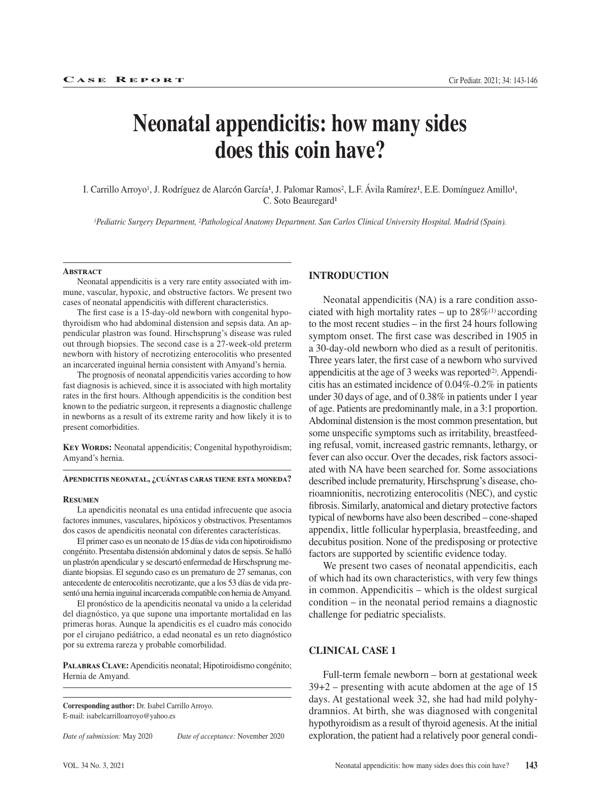# **Neonatal appendicitis: how many sides does this coin have?**

I. Carrillo Arroyo<sup>1</sup>, J. Rodríguez de Alarcón García<sup>1</sup>, J. Palomar Ramos<sup>2</sup>, L.F. Ávila Ramírez<sup>1</sup>, E.E. Domínguez Amillo<sup>1</sup>, C. Soto Beauregard<sup>1</sup>

*1Pediatric Surgery Department, 2Pathological Anatomy Department. San Carlos Clinical University Hospital. Madrid (Spain).*

### **Abstract**

Neonatal appendicitis is a very rare entity associated with immune, vascular, hypoxic, and obstructive factors. We present two cases of neonatal appendicitis with different characteristics.

The first case is a 15-day-old newborn with congenital hypothyroidism who had abdominal distension and sepsis data. An appendicular plastron was found. Hirschsprung's disease was ruled out through biopsies. The second case is a 27-week-old preterm newborn with history of necrotizing enterocolitis who presented an incarcerated inguinal hernia consistent with Amyand's hernia.

The prognosis of neonatal appendicitis varies according to how fast diagnosis is achieved, since it is associated with high mortality rates in the first hours. Although appendicitis is the condition best known to the pediatric surgeon, it represents a diagnostic challenge in newborns as a result of its extreme rarity and how likely it is to present comorbidities.

KEY WORDS: Neonatal appendicitis; Congenital hypothyroidism; Amyand's hernia.

#### **Apendicitis neonatal, ¿cuántas caras tiene esta moneda?**

#### **Resumen**

La apendicitis neonatal es una entidad infrecuente que asocia factores inmunes, vasculares, hipóxicos y obstructivos. Presentamos dos casos de apendicitis neonatal con diferentes características.

El primer caso es un neonato de 15 días de vida con hipotiroidismo congénito. Presentaba distensión abdominal y datos de sepsis. Se halló un plastrón apendicular y se descartó enfermedad de Hirschsprung mediante biopsias. El segundo caso es un prematuro de 27 semanas, con antecedente de enterocolitis necrotizante, que a los 53 días de vida presentó una hernia inguinal incarcerada compatible con hernia de Amyand.

El pronóstico de la apendicitis neonatal va unido a la celeridad del diagnóstico, ya que supone una importante mortalidad en las primeras horas. Aunque la apendicitis es el cuadro más conocido por el cirujano pediátrico, a edad neonatal es un reto diagnóstico por su extrema rareza y probable comorbilidad.

**Palabras Clave:** Apendicitis neonatal; Hipotiroidismo congénito; Hernia de Amyand.

**Corresponding author:** Dr. Isabel Carrillo Arroyo. E-mail: isabelcarrilloarroyo@yahoo.es

*Date of submission:* May 2020 *Date of acceptance:* November 2020

# **INTRODUCTION**

Neonatal appendicitis (NA) is a rare condition associated with high mortality rates – up to  $28\%$ <sup>(1)</sup> according to the most recent studies – in the first 24 hours following symptom onset. The first case was described in 1905 in a 30-day-old newborn who died as a result of peritonitis. Three years later, the first case of a newborn who survived appendicitis at the age of 3 weeks was reported $(2)$ . Appendicitis has an estimated incidence of 0.04%-0.2% in patients under 30 days of age, and of 0.38% in patients under 1 year of age. Patients are predominantly male, in a 3:1 proportion. Abdominal distension is the most common presentation, but some unspecific symptoms such as irritability, breastfeeding refusal, vomit, increased gastric remnants, lethargy, or fever can also occur. Over the decades, risk factors associated with NA have been searched for. Some associations described include prematurity, Hirschsprung's disease, chorioamnionitis, necrotizing enterocolitis (NEC), and cystic fibrosis. Similarly, anatomical and dietary protective factors typical of newborns have also been described – cone-shaped appendix, little follicular hyperplasia, breastfeeding, and decubitus position. None of the predisposing or protective factors are supported by scientific evidence today.

We present two cases of neonatal appendicitis, each of which had its own characteristics, with very few things in common. Appendicitis – which is the oldest surgical condition – in the neonatal period remains a diagnostic challenge for pediatric specialists.

## **CLINICAL CASE 1**

Full-term female newborn – born at gestational week 39+2 – presenting with acute abdomen at the age of 15 days. At gestational week 32, she had had mild polyhydramnios. At birth, she was diagnosed with congenital hypothyroidism as a result of thyroid agenesis. At the initial exploration, the patient had a relatively poor general condi-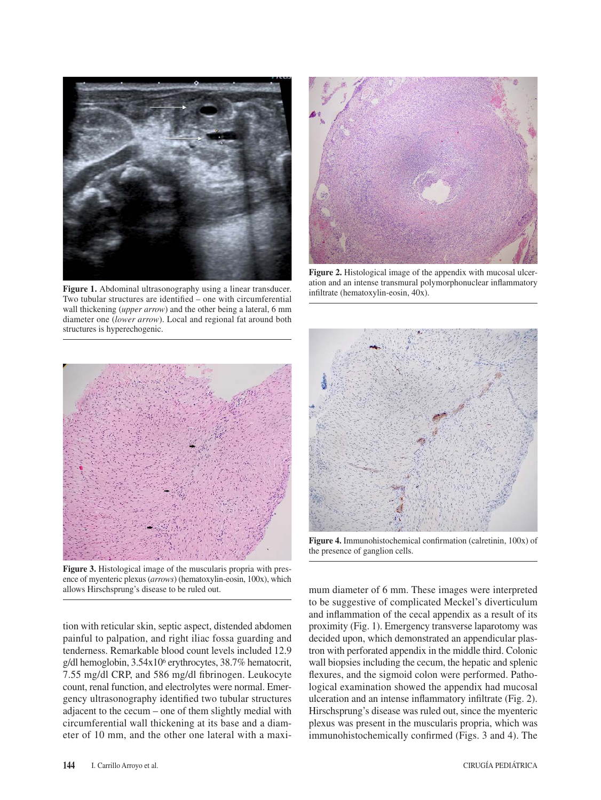

**Figure 1.** Abdominal ultrasonography using a linear transducer. Two tubular structures are identified – one with circumferential wall thickening (*upper arrow*) and the other being a lateral, 6 mm diameter one (*lower arrow*). Local and regional fat around both structures is hyperechogenic.



Figure 2. Histological image of the appendix with mucosal ulceration and an intense transmural polymorphonuclear inflammatory infiltrate (hematoxylin-eosin, 40x).



**Figure 3.** Histological image of the muscularis propria with presence of myenteric plexus (*arrows*) (hematoxylin-eosin, 100x), which allows Hirschsprung's disease to be ruled out.

tion with reticular skin, septic aspect, distended abdomen painful to palpation, and right iliac fossa guarding and tenderness. Remarkable blood count levels included 12.9 g/dl hemoglobin, 3.54x106 erythrocytes, 38.7% hematocrit, 7.55 mg/dl CRP, and 586 mg/dl fibrinogen. Leukocyte count, renal function, and electrolytes were normal. Emergency ultrasonography identified two tubular structures adjacent to the cecum – one of them slightly medial with circumferential wall thickening at its base and a diameter of 10 mm, and the other one lateral with a maxi-



**Figure 4.** Immunohistochemical confirmation (calretinin, 100x) of the presence of ganglion cells.

mum diameter of 6 mm. These images were interpreted to be suggestive of complicated Meckel's diverticulum and inflammation of the cecal appendix as a result of its proximity (Fig. 1). Emergency transverse laparotomy was decided upon, which demonstrated an appendicular plastron with perforated appendix in the middle third. Colonic wall biopsies including the cecum, the hepatic and splenic flexures, and the sigmoid colon were performed. Pathological examination showed the appendix had mucosal ulceration and an intense inflammatory infiltrate (Fig. 2). Hirschsprung's disease was ruled out, since the myenteric plexus was present in the muscularis propria, which was immunohistochemically confirmed (Figs. 3 and 4). The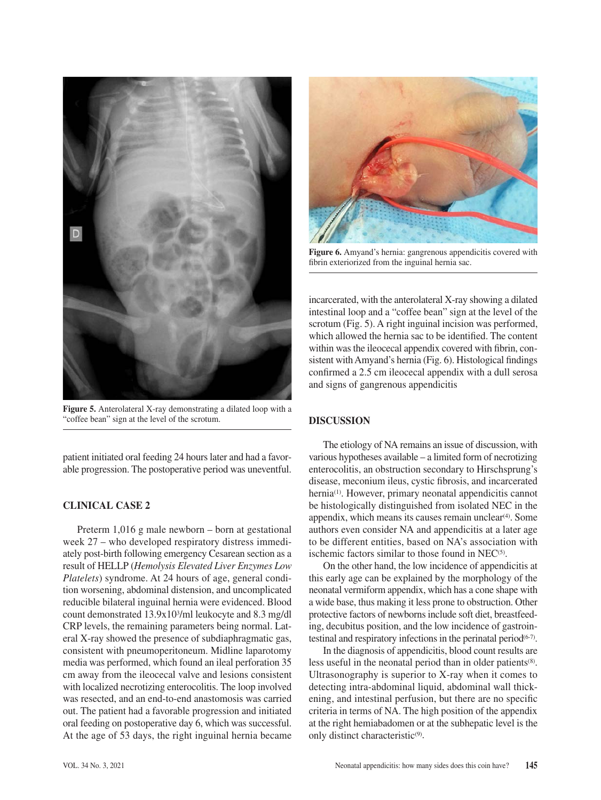

**Figure 5.** Anterolateral X-ray demonstrating a dilated loop with a "coffee bean" sign at the level of the scrotum.

patient initiated oral feeding 24 hours later and had a favorable progression. The postoperative period was uneventful.

# **CLINICAL CASE 2**

Preterm 1,016 g male newborn – born at gestational week 27 – who developed respiratory distress immediately post-birth following emergency Cesarean section as a result of HELLP (*Hemolysis Elevated Liver Enzymes Low Platelets*) syndrome. At 24 hours of age, general condition worsening, abdominal distension, and uncomplicated reducible bilateral inguinal hernia were evidenced. Blood count demonstrated 13.9x103/ml leukocyte and 8.3 mg/dl CRP levels, the remaining parameters being normal. Lateral X-ray showed the presence of subdiaphragmatic gas, consistent with pneumoperitoneum. Midline laparotomy media was performed, which found an ileal perforation 35 cm away from the ileocecal valve and lesions consistent with localized necrotizing enterocolitis. The loop involved was resected, and an end-to-end anastomosis was carried out. The patient had a favorable progression and initiated oral feeding on postoperative day 6, which was successful. At the age of 53 days, the right inguinal hernia became



**Figure 6.** Amyand's hernia: gangrenous appendicitis covered with fibrin exteriorized from the inguinal hernia sac.

incarcerated, with the anterolateral X-ray showing a dilated intestinal loop and a "coffee bean" sign at the level of the scrotum (Fig. 5). A right inguinal incision was performed, which allowed the hernia sac to be identified. The content within was the ileocecal appendix covered with fibrin, consistent with Amyand's hernia (Fig. 6). Histological findings confirmed a 2.5 cm ileocecal appendix with a dull serosa and signs of gangrenous appendicitis

## **DISCUSSION**

The etiology of NA remains an issue of discussion, with various hypotheses available – a limited form of necrotizing enterocolitis, an obstruction secondary to Hirschsprung's disease, meconium ileus, cystic fibrosis, and incarcerated hernia<sup>(1)</sup>. However, primary neonatal appendicitis cannot be histologically distinguished from isolated NEC in the appendix, which means its causes remain unclear<sup>(4)</sup>. Some authors even consider NA and appendicitis at a later age to be different entities, based on NA's association with ischemic factors similar to those found in  $NEC<sup>(5)</sup>$ .

On the other hand, the low incidence of appendicitis at this early age can be explained by the morphology of the neonatal vermiform appendix, which has a cone shape with a wide base, thus making it less prone to obstruction. Other protective factors of newborns include soft diet, breastfeeding, decubitus position, and the low incidence of gastrointestinal and respiratory infections in the perinatal period<sup>(6-7)</sup>.

In the diagnosis of appendicitis, blood count results are less useful in the neonatal period than in older patients<sup>(8)</sup>. Ultrasonography is superior to X-ray when it comes to detecting intra-abdominal liquid, abdominal wall thickening, and intestinal perfusion, but there are no specific criteria in terms of NA. The high position of the appendix at the right hemiabadomen or at the subhepatic level is the only distinct characteristic<sup>(9)</sup>.